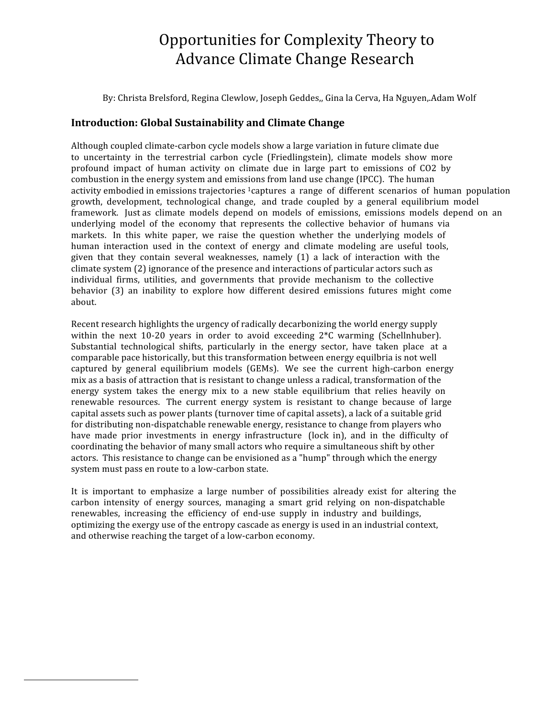# Opportunities for Complexity Theory to Advance Climate Change Research

By: Christa Brelsford, Regina Clewlow, Joseph Geddes,, Gina la Cerva, Ha Nguyen,.Adam Wolf

# **Introduction: Global Sustainability and Climate Change**

Although coupled climate‐carbon cycle models show a large variation in future climate due to uncertainty in the terrestrial carbon cycle (Friedlingstein), climate models show more profound impact of human activity on climate due in large part to emissions of CO2 by combustion in the energy system and emissions from land use change (IPCC). The human activity embodied in emissions trajectories 1captures a range of different scenarios of human population growth, development, technological change, and trade coupled by a general equilibrium model framework. Just as climate models depend on models of emissions, emissions models depend on an underlying model of the economy that represents the collective behavior of humans via markets. In this white paper, we raise the question whether the underlying models of human interaction used in the context of energy and climate modeling are useful tools, given that they contain several weaknesses, namely  $(1)$  a lack of interaction with the climate system (2) ignorance of the presence and interactions of particular actors such as individual firms, utilities, and governments that provide mechanism to the collective behavior (3) an inability to explore how different desired emissions futures might come about.

Recent research highlights the urgency of radically decarbonizing the world energy supply within the next  $10\n-20$  years in order to avoid exceeding  $2*C$  warming (Schellnhuber). Substantial technological shifts, particularly in the energy sector, have taken place at a comparable pace historically, but this transformation between energy equilbria is not well captured by general equilibrium models (GEMs). We see the current high-carbon energy mix as a basis of attraction that is resistant to change unless a radical, transformation of the energy system takes the energy mix to a new stable equilibrium that relies heavily on renewable resources. The current energy system is resistant to change because of large capital assets such as power plants (turnover time of capital assets), a lack of a suitable grid for distributing non‐dispatchable renewable energy, resistance to change from players who have made prior investments in energy infrastructure (lock in), and in the difficulty of coordinating the behavior of many small actors who require a simultaneous shift by other actors. This resistance to change can be envisioned as a "hump" through which the energy system must pass en route to a low‐carbon state.

It is important to emphasize a large number of possibilities already exist for altering the carbon intensity of energy sources, managing a smart grid relying on non-dispatchable renewables, increasing the efficiency of end-use supply in industry and buildings, optimizing the exergy use of the entropy cascade as energy is used in an industrial context, and otherwise reaching the target of a low‐carbon economy.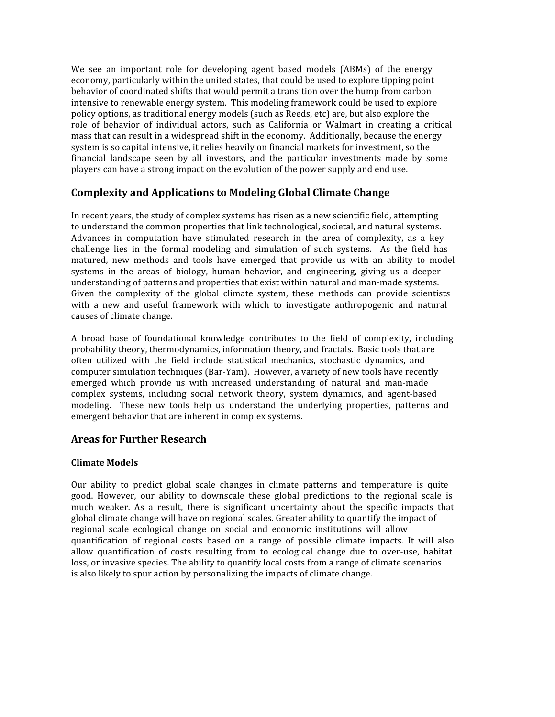We see an important role for developing agent based models (ABMs) of the energy economy, particularly within the united states, that could be used to explore tipping point behavior of coordinated shifts that would permit a transition over the hump from carbon intensive to renewable energy system. This modeling framework could be used to explore policy options, as traditional energy models (such as Reeds, etc) are, but also explore the role of behavior of individual actors, such as California or Walmart in creating a critical mass that can result in a widespread shift in the economy. Additionally, because the energy system is so capital intensive, it relies heavily on financial markets for investment, so the financial landscape seen by all investors, and the particular investments made by some players can have a strong impact on the evolution of the power supply and end use.

# **Complexity and Applications to Modeling Global Climate Change**

In recent years, the study of complex systems has risen as a new scientific field, attempting to understand the common properties that link technological, societal, and natural systems. Advances in computation have stimulated research in the area of complexity, as a key challenge lies in the formal modeling and simulation of such systems. As the field has matured, new methods and tools have emerged that provide us with an ability to model systems in the areas of biology, human behavior, and engineering, giving us a deeper understanding of patterns and properties that exist within natural and man-made systems. Given the complexity of the global climate system, these methods can provide scientists with a new and useful framework with which to investigate anthropogenic and natural causes of climate change.

A broad base of foundational knowledge contributes to the field of complexity, including probability theory, thermodynamics, information theory, and fractals. Basic tools that are often utilized with the field include statistical mechanics, stochastic dynamics, and computer simulation techniques (Bar‐Yam). However, a variety of new tools have recently emerged which provide us with increased understanding of natural and man-made complex systems, including social network theory, system dynamics, and agent-based modeling. These new tools help us understand the underlying properties, patterns and emergent behavior that are inherent in complex systems.

# **Areas for Further Research**

## **Climate Models**

Our ability to predict global scale changes in climate patterns and temperature is quite good. However, our ability to downscale these global predictions to the regional scale is much weaker. As a result, there is significant uncertainty about the specific impacts that global climate change will have on regional scales. Greater ability to quantify the impact of regional scale ecological change on social and economic institutions will allow quantification of regional costs based on a range of possible climate impacts. It will also allow quantification of costs resulting from to ecological change due to over-use, habitat loss, or invasive species. The ability to quantify local costs from a range of climate scenarios is also likely to spur action by personalizing the impacts of climate change.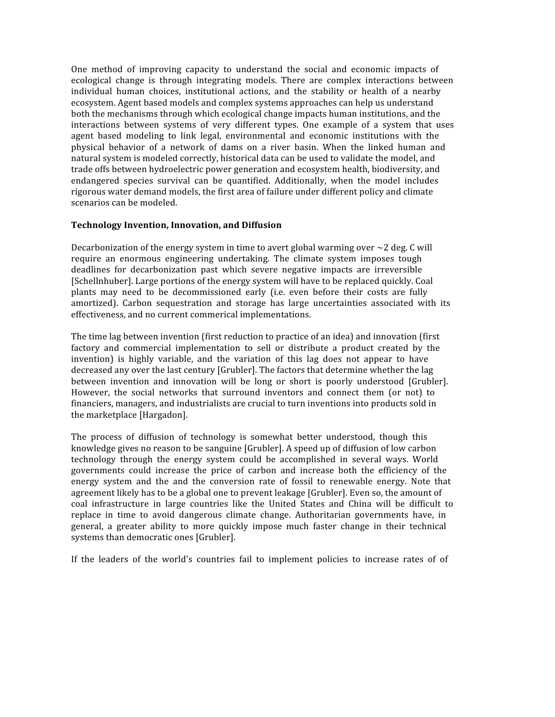One method of improving capacity to understand the social and economic impacts of ecological change is through integrating models. There are complex interactions between individual human choices, institutional actions, and the stability or health of a nearby ecosystem. Agent based models and complex systems approaches can help us understand both the mechanisms through which ecological change impacts human institutions, and the interactions between systems of very different types. One example of a system that uses agent based modeling to link legal, environmental and economic institutions with the physical behavior of a network of dams on a river basin. When the linked human and natural system is modeled correctly, historical data can be used to validate the model, and trade offs between hydroelectric power generation and ecosystem health, biodiversity, and endangered species survival can be quantified. Additionally, when the model includes rigorous water demand models, the first area of failure under different policy and climate scenarios can be modeled.

## **Technology Invention, Innovation, and Diffusion**

Decarbonization of the energy system in time to avert global warming over  $\sim$  2 deg. C will require an enormous engineering undertaking. The climate system imposes tough deadlines for decarbonization past which severe negative impacts are irreversible [Schellnhuber]. Large portions of the energy system will have to be replaced quickly. Coal plants may need to be decommissioned early (i.e. even before their costs are fully amortized). Carbon sequestration and storage has large uncertainties associated with its effectiveness, and no current commerical implementations.

The time lag between invention (first reduction to practice of an idea) and innovation (first factory and commercial implementation to sell or distribute a product created by the invention) is highly variable, and the variation of this lag does not appear to have decreased any over the last century [Grubler]. The factors that determine whether the lag between invention and innovation will be long or short is poorly understood [Grubler]. However, the social networks that surround inventors and connect them (or not) to financiers, managers, and industrialists are crucial to turn inventions into products sold in the marketplace [Hargadon].

The process of diffusion of technology is somewhat better understood, though this knowledge gives no reason to be sanguine [Grubler]. A speed up of diffusion of low carbon technology through the energy system could be accomplished in several ways. World governments could increase the price of carbon and increase both the efficiency of the energy system and the and the conversion rate of fossil to renewable energy. Note that agreement likely has to be a global one to prevent leakage [Grubler]. Even so, the amount of coal infrastructure in large countries like the United States and China will be difficult to replace in time to avoid dangerous climate change. Authoritarian governments have, in general, a greater ability to more quickly impose much faster change in their technical systems than democratic ones [Grubler].

If the leaders of the world's countries fail to implement policies to increase rates of of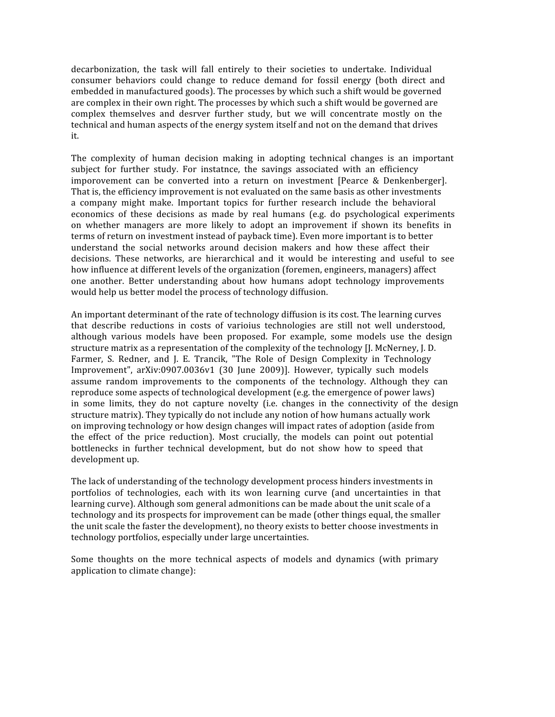decarbonization, the task will fall entirely to their societies to undertake. Individual consumer behaviors could change to reduce demand for fossil energy (both direct and embedded in manufactured goods). The processes by which such a shift would be governed are complex in their own right. The processes by which such a shift would be governed are complex themselves and desrver further study, but we will concentrate mostly on the technical and human aspects of the energy system itself and not on the demand that drives it.

The complexity of human decision making in adopting technical changes is an important subject for further study. For instatnce, the savings associated with an efficiency imporovement can be converted into a return on investment [Pearce & Denkenberger]. That is, the efficiency improvement is not evaluated on the same basis as other investments a company might make. Important topics for further research include the behavioral economics of these decisions as made by real humans (e.g. do psychological experiments on whether managers are more likely to adopt an improvement if shown its benefits in terms of return on investment instead of payback time). Even more important is to better understand the social networks around decision makers and how these affect their decisions. These networks, are hierarchical and it would be interesting and useful to see how influence at different levels of the organization (foremen, engineers, managers) affect one another. Better understanding about how humans adopt technology improvements would help us better model the process of technology diffusion.

An important determinant of the rate of technology diffusion is its cost. The learning curves that describe reductions in costs of varioius technologies are still not well understood, although various models have been proposed. For example, some models use the design structure matrix as a representation of the complexity of the technology [J. McNerney, J. D. Farmer, S. Redner, and J. E. Trancik, "The Role of Design Complexity in Technology Improvement", arXiv:0907.0036y1 (30 June 2009)]. However, typically such models assume random improvements to the components of the technology. Although they can reproduce some aspects of technological development (e.g. the emergence of power laws) in some limits, they do not capture novelty (i.e. changes in the connectivity of the design structure matrix). They typically do not include any notion of how humans actually work on improving technology or how design changes will impact rates of adoption (aside from the effect of the price reduction). Most crucially, the models can point out potential bottlenecks in further technical development, but do not show how to speed that development up.

The lack of understanding of the technology development process hinders investments in portfolios of technologies, each with its won learning curve (and uncertainties in that learning curve). Although som general admonitions can be made about the unit scale of a technology and its prospects for improvement can be made (other things equal, the smaller the unit scale the faster the development), no theory exists to better choose investments in technology portfolios, especially under large uncertainties.

Some thoughts on the more technical aspects of models and dynamics (with primary application to climate change):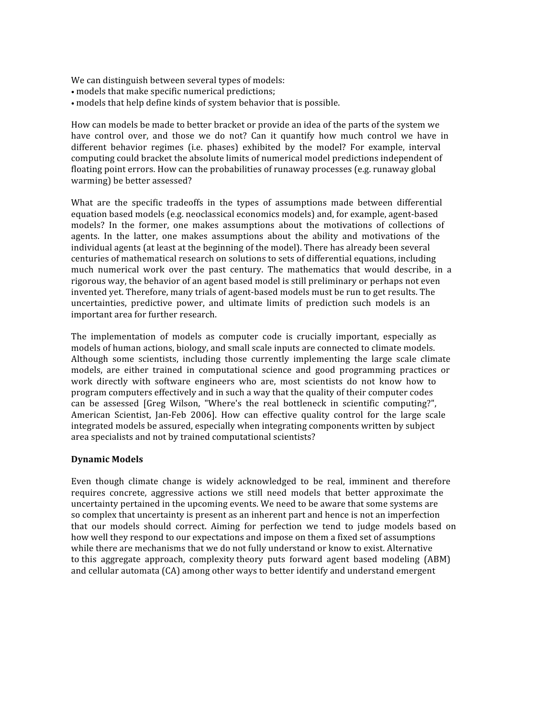We can distinguish between several types of models:

- models that make specific numerical predictions;
- models that help define kinds of system behavior that is possible.

How can models be made to better bracket or provide an idea of the parts of the system we have control over, and those we do not? Can it quantify how much control we have in different behavior regimes (i.e. phases) exhibited by the model? For example, interval computing could bracket the absolute limits of numerical model predictions independent of floating point errors. How can the probabilities of runaway processes (e.g. runaway global warming) be better assessed?

What are the specific tradeoffs in the types of assumptions made between differential equation based models (e.g. neoclassical economics models) and, for example, agent‐based models? In the former, one makes assumptions about the motivations of collections of agents. In the latter, one makes assumptions about the ability and motivations of the individual agents (at least at the beginning of the model). There has already been several centuries of mathematical research on solutions to sets of differential equations, including much numerical work over the past century. The mathematics that would describe, in a rigorous way, the behavior of an agent based model is still preliminary or perhaps not even invented yet. Therefore, many trials of agent-based models must be run to get results. The uncertainties, predictive power, and ultimate limits of prediction such models is an important area for further research.

The implementation of models as computer code is crucially important, especially as models of human actions, biology, and small scale inputs are connected to climate models. Although some scientists, including those currently implementing the large scale climate models, are either trained in computational science and good programming practices or work directly with software engineers who are, most scientists do not know how to program computers effectively and in such a way that the quality of their computer codes can be assessed [Greg Wilson, "Where's the real bottleneck in scientific computing?", American Scientist, Jan-Feb 2006]. How can effective quality control for the large scale integrated models be assured, especially when integrating components written by subject area specialists and not by trained computational scientists?

#### **Dynamic Models**

Even though climate change is widely acknowledged to be real, imminent and therefore requires concrete, aggressive actions we still need models that better approximate the uncertainty pertained in the upcoming events. We need to be aware that some systems are so complex that uncertainty is present as an inherent part and hence is not an imperfection that our models should correct. Aiming for perfection we tend to judge models based on how well they respond to our expectations and impose on them a fixed set of assumptions while there are mechanisms that we do not fully understand or know to exist. Alternative to this aggregate approach, complexity theory puts forward agent based modeling (ABM) and cellular automata (CA) among other ways to better identify and understand emergent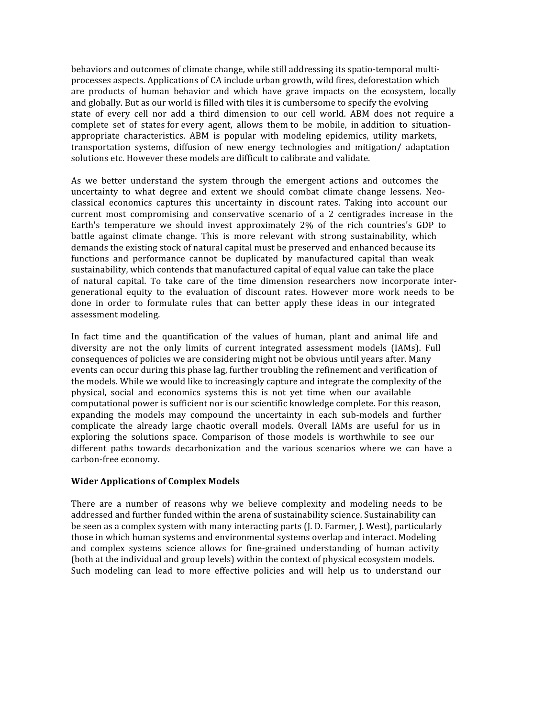behaviors and outcomes of climate change, while still addressing its spatio-temporal multiprocesses aspects. Applications of CA include urban growth, wild fires, deforestation which are products of human behavior and which have grave impacts on the ecosystem, locally and globally. But as our world is filled with tiles it is cumbersome to specify the evolving state of every cell nor add a third dimension to our cell world. ABM does not require a complete set of states for every agent, allows them to be mobile, in addition to situationappropriate characteristics. ABM is popular with modeling epidemics, utility markets, transportation systems, diffusion of new energy technologies and mitigation/ adaptation solutions etc. However these models are difficult to calibrate and validate.

As we better understand the system through the emergent actions and outcomes the uncertainty to what degree and extent we should combat climate change lessens. Neoclassical economics captures this uncertainty in discount rates. Taking into account our current most compromising and conservative scenario of a 2 centigrades increase in the Earth's temperature we should invest approximately 2% of the rich countries's GDP to battle against climate change. This is more relevant with strong sustainability, which demands the existing stock of natural capital must be preserved and enhanced because its functions and performance cannot be duplicated by manufactured capital than weak sustainability, which contends that manufactured capital of equal value can take the place of natural capital. To take care of the time dimension researchers now incorporate inter‐ generational equity to the evaluation of discount rates. However more work needs to be done in order to formulate rules that can better apply these ideas in our integrated assessment modeling.

In fact time and the quantification of the values of human, plant and animal life and diversity are not the only limits of current integrated assessment models (IAMs). Full consequences of policies we are considering might not be obvious until years after. Many events can occur during this phase lag, further troubling the refinement and verification of the models. While we would like to increasingly capture and integrate the complexity of the physical, social and economics systems this is not yet time when our available computational power is sufficient nor is our scientific knowledge complete. For this reason, expanding the models may compound the uncertainty in each sub-models and further complicate the already large chaotic overall models. Overall IAMs are useful for us in exploring the solutions space. Comparison of those models is worthwhile to see our different paths towards decarbonization and the various scenarios where we can have a carbon‐free economy.

## **Wider Applications of Complex Models**

There are a number of reasons why we believe complexity and modeling needs to be addressed and further funded within the arena of sustainability science. Sustainability can be seen as a complex system with many interacting parts (J. D. Farmer, J. West), particularly those in which human systems and environmental systems overlap and interact. Modeling and complex systems science allows for fine-grained understanding of human activity (both at the individual and group levels) within the context of physical ecosystem models. Such modeling can lead to more effective policies and will help us to understand our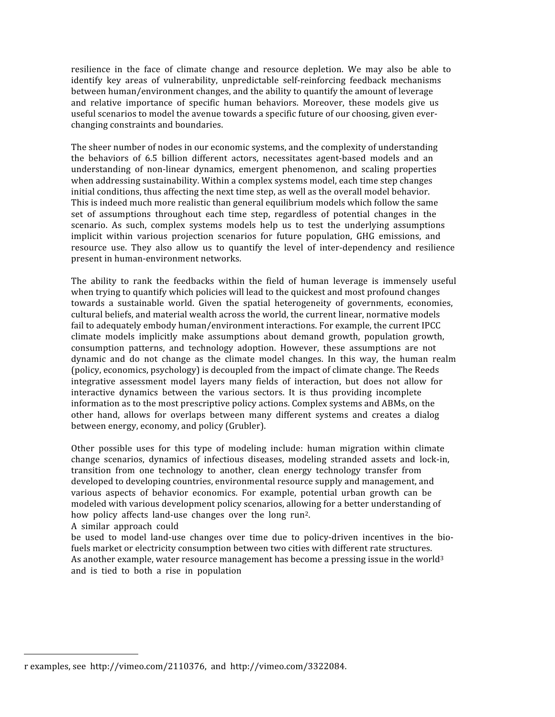resilience in the face of climate change and resource depletion. We may also be able to identify key areas of vulnerability, unpredictable self-reinforcing feedback mechanisms between human/environment changes, and the ability to quantify the amount of leverage and relative importance of specific human behaviors. Moreover, these models give us useful scenarios to model the avenue towards a specific future of our choosing, given ever‐ changing constraints and boundaries.

The sheer number of nodes in our economic systems, and the complexity of understanding the behaviors of 6.5 billion different actors, necessitates agent-based models and an understanding of non-linear dynamics, emergent phenomenon, and scaling properties when addressing sustainability. Within a complex systems model, each time step changes initial conditions, thus affecting the next time step, as well as the overall model behavior. This is indeed much more realistic than general equilibrium models which follow the same set of assumptions throughout each time step, regardless of potential changes in the scenario. As such, complex systems models help us to test the underlying assumptions implicit within various projection scenarios for future population, GHG emissions, and resource use. They also allow us to quantify the level of inter-dependency and resilience present in human‐environment networks.

The ability to rank the feedbacks within the field of human leverage is immensely useful when trying to quantify which policies will lead to the quickest and most profound changes towards a sustainable world. Given the spatial heterogeneity of governments, economies, cultural beliefs, and material wealth across the world, the current linear, normative models fail to adequately embody human/environment interactions. For example, the current IPCC climate models implicitly make assumptions about demand growth, population growth, consumption patterns, and technology adoption. However, these assumptions are not dynamic and do not change as the climate model changes. In this way, the human realm (policy, economics, psychology) is decoupled from the impact of climate change. The Reeds integrative assessment model layers many fields of interaction, but does not allow for interactive dynamics between the various sectors. It is thus providing incomplete information as to the most prescriptive policy actions. Complex systems and ABMs, on the other hand, allows for overlaps between many different systems and creates a dialog between energy, economy, and policy (Grubler).

Other possible uses for this type of modeling include: human migration within climate change scenarios, dynamics of infectious diseases, modeling stranded assets and lock‐in, transition from one technology to another, clean energy technology transfer from developed to developing countries, environmental resource supply and management, and various aspects of behavior economics. For example, potential urban growth can be modeled with various development policy scenarios, allowing for a better understanding of how policy affects land-use changes over the long run<sup>2</sup>.

A similar approach could

be used to model land-use changes over time due to policy-driven incentives in the biofuels market or electricity consumption between two cities with different rate structures. As another example, water resource management has become a pressing issue in the world3 and is tied to both a rise in population

r examples, see http://vimeo.com/2110376, and http://vimeo.com/3322084.